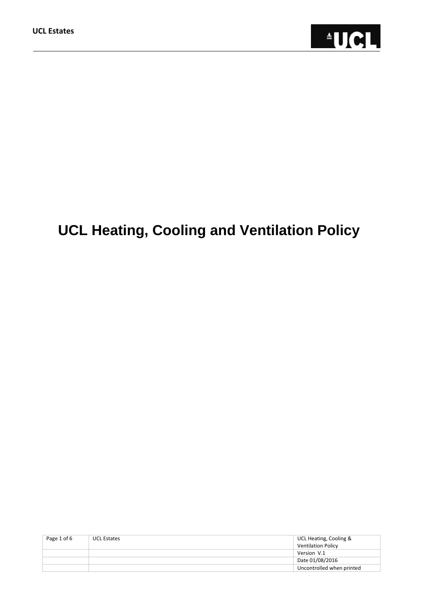

# **UCL Heating, Cooling and Ventilation Policy**

| Page 1 of 6 | <b>UCL Estates</b> | UCL Heating, Cooling &    |
|-------------|--------------------|---------------------------|
|             |                    | Ventilation Policy        |
|             |                    | Version V.1               |
|             |                    | Date 01/08/2016           |
|             |                    | Uncontrolled when printed |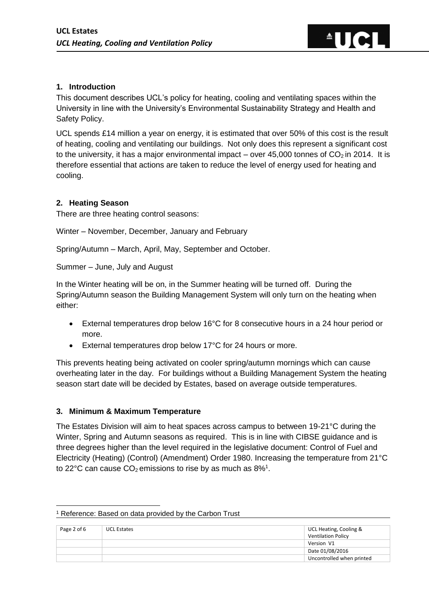# **1. Introduction**

This document describes UCL's policy for heating, cooling and ventilating spaces within the University in line with the University's Environmental Sustainability Strategy and Health and Safety Policy.

 $\triangleq$ 

UCL spends £14 million a year on energy, it is estimated that over 50% of this cost is the result of heating, cooling and ventilating our buildings. Not only does this represent a significant cost to the university, it has a major environmental impact – over  $45,000$  tonnes of  $CO<sub>2</sub>$  in 2014. It is therefore essential that actions are taken to reduce the level of energy used for heating and cooling.

# **2. Heating Season**

There are three heating control seasons:

Winter – November, December, January and February

Spring/Autumn – March, April, May, September and October.

Summer – June, July and August

In the Winter heating will be on, in the Summer heating will be turned off. During the Spring/Autumn season the Building Management System will only turn on the heating when either:

- External temperatures drop below 16°C for 8 consecutive hours in a 24 hour period or more.
- External temperatures drop below 17°C for 24 hours or more.

This prevents heating being activated on cooler spring/autumn mornings which can cause overheating later in the day. For buildings without a Building Management System the heating season start date will be decided by Estates, based on average outside temperatures.

#### **3. Minimum & Maximum Temperature**

1

The Estates Division will aim to heat spaces across campus to between 19-21°C during the Winter, Spring and Autumn seasons as required. This is in line with CIBSE guidance and is three degrees higher than the level required in the legislative document: Control of Fuel and Electricity (Heating) (Control) (Amendment) Order 1980. Increasing the temperature from 21°C to 22°C can cause  $CO_2$  emissions to rise by as much as  $8\%$ <sup>1</sup>.

| Page 2 of 6 | <b>UCL Estates</b> | UCL Heating, Cooling &<br>Ventilation Policy |
|-------------|--------------------|----------------------------------------------|
|             |                    | Version V1                                   |
|             |                    | Date 01/08/2016                              |
|             |                    | Uncontrolled when printed                    |

#### <sup>1</sup> Reference: Based on data provided by the Carbon Trust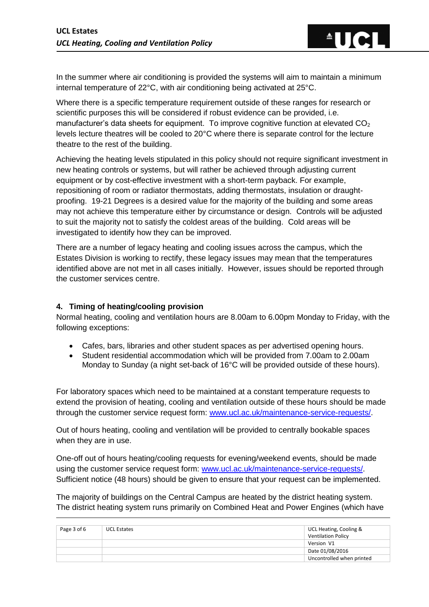$\triangle$ TIC

In the summer where air conditioning is provided the systems will aim to maintain a minimum internal temperature of 22°C, with air conditioning being activated at 25°C.

Where there is a specific temperature requirement outside of these ranges for research or scientific purposes this will be considered if robust evidence can be provided, i.e. manufacturer's data sheets for equipment. To improve cognitive function at elevated  $CO<sub>2</sub>$ levels lecture theatres will be cooled to 20°C where there is separate control for the lecture theatre to the rest of the building.

Achieving the heating levels stipulated in this policy should not require significant investment in new heating controls or systems, but will rather be achieved through adjusting current equipment or by cost-effective investment with a short-term payback. For example, repositioning of room or radiator thermostats, adding thermostats, insulation or draughtproofing. 19-21 Degrees is a desired value for the majority of the building and some areas may not achieve this temperature either by circumstance or design. Controls will be adjusted to suit the majority not to satisfy the coldest areas of the building. Cold areas will be investigated to identify how they can be improved.

There are a number of legacy heating and cooling issues across the campus, which the Estates Division is working to rectify, these legacy issues may mean that the temperatures identified above are not met in all cases initially. However, issues should be reported through the customer services centre.

# **4. Timing of heating/cooling provision**

Normal heating, cooling and ventilation hours are 8.00am to 6.00pm Monday to Friday, with the following exceptions:

- Cafes, bars, libraries and other student spaces as per advertised opening hours.
- Student residential accommodation which will be provided from 7.00am to 2.00am Monday to Sunday (a night set-back of 16°C will be provided outside of these hours).

For laboratory spaces which need to be maintained at a constant temperature requests to extend the provision of heating, cooling and ventilation outside of these hours should be made through the customer service request form: [www.ucl.ac.uk/maintenance-service-requests/.](http://www.ucl.ac.uk/maintenance-service-requests/)

Out of hours heating, cooling and ventilation will be provided to centrally bookable spaces when they are in use.

One-off out of hours heating/cooling requests for evening/weekend events, should be made using the customer service request form: [www.ucl.ac.uk/maintenance-service-requests/.](http://www.ucl.ac.uk/maintenance-service-requests/) Sufficient notice (48 hours) should be given to ensure that your request can be implemented.

The majority of buildings on the Central Campus are heated by the district heating system. The district heating system runs primarily on Combined Heat and Power Engines (which have

| Page 3 of 6 | <b>UCL Estates</b> | UCL Heating, Cooling &<br>Ventilation Policy |
|-------------|--------------------|----------------------------------------------|
|             |                    | Version V1                                   |
|             |                    | Date 01/08/2016                              |
|             |                    | Uncontrolled when printed                    |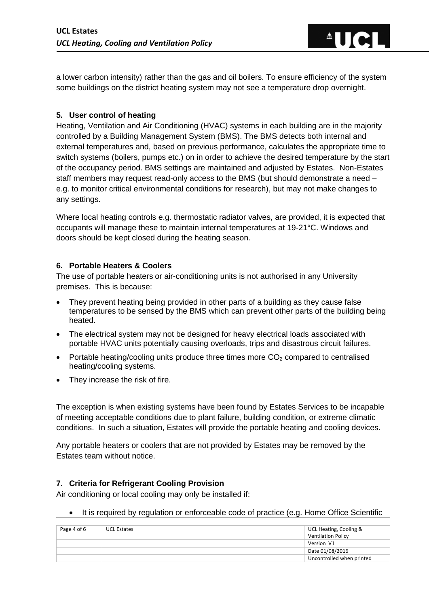a lower carbon intensity) rather than the gas and oil boilers. To ensure efficiency of the system some buildings on the district heating system may not see a temperature drop overnight.

 $\triangle$   $\blacksquare$ 

### **5. User control of heating**

Heating, Ventilation and Air Conditioning (HVAC) systems in each building are in the majority controlled by a Building Management System (BMS). The BMS detects both internal and external temperatures and, based on previous performance, calculates the appropriate time to switch systems (boilers, pumps etc.) on in order to achieve the desired temperature by the start of the occupancy period. BMS settings are maintained and adjusted by Estates. Non-Estates staff members may request read-only access to the BMS (but should demonstrate a need – e.g. to monitor critical environmental conditions for research), but may not make changes to any settings.

Where local heating controls e.g. thermostatic radiator valves, are provided, it is expected that occupants will manage these to maintain internal temperatures at 19-21°C. Windows and doors should be kept closed during the heating season.

### **6. Portable Heaters & Coolers**

The use of portable heaters or air-conditioning units is not authorised in any University premises. This is because:

- They prevent heating being provided in other parts of a building as they cause false temperatures to be sensed by the BMS which can prevent other parts of the building being heated.
- The electrical system may not be designed for heavy electrical loads associated with portable HVAC units potentially causing overloads, trips and disastrous circuit failures.
- Portable heating/cooling units produce three times more  $CO<sub>2</sub>$  compared to centralised heating/cooling systems.
- They increase the risk of fire.

The exception is when existing systems have been found by Estates Services to be incapable of meeting acceptable conditions due to plant failure, building condition, or extreme climatic conditions. In such a situation, Estates will provide the portable heating and cooling devices.

Any portable heaters or coolers that are not provided by Estates may be removed by the Estates team without notice.

#### **7. Criteria for Refrigerant Cooling Provision**

Air conditioning or local cooling may only be installed if:

• It is required by regulation or enforceable code of practice (e.g. Home Office Scientific

| Page 4 of 6 | UCL Estates | UCL Heating, Cooling &<br>Ventilation Policy |
|-------------|-------------|----------------------------------------------|
|             |             | Version V1                                   |
|             |             | Date 01/08/2016                              |
|             |             | Uncontrolled when printed                    |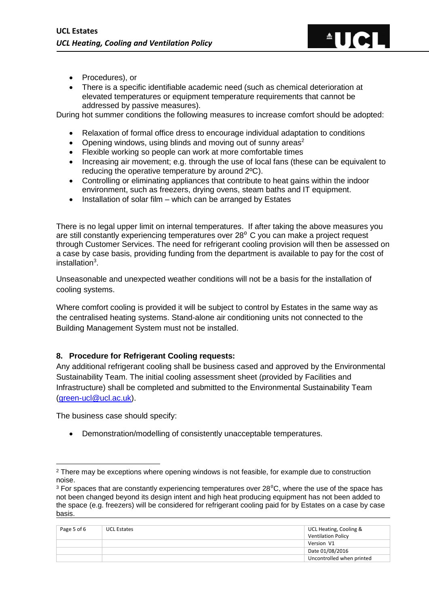

- Procedures), or
- There is a specific identifiable academic need (such as chemical deterioration at elevated temperatures or equipment temperature requirements that cannot be addressed by passive measures).

During hot summer conditions the following measures to increase comfort should be adopted:

- Relaxation of formal office dress to encourage individual adaptation to conditions
- Opening windows, using blinds and moving out of sunny areas<sup>2</sup>
- Flexible working so people can work at more comfortable times
- Increasing air movement; e.g. through the use of local fans (these can be equivalent to reducing the operative temperature by around 2ºC).
- Controlling or eliminating appliances that contribute to heat gains within the indoor environment, such as freezers, drying ovens, steam baths and IT equipment.
- Installation of solar film which can be arranged by Estates

There is no legal upper limit on internal temperatures. If after taking the above measures you are still constantly experiencing temperatures over  $28<sup>0</sup>$  C you can make a project request through Customer Services. The need for refrigerant cooling provision will then be assessed on a case by case basis, providing funding from the department is available to pay for the cost of installation<sup>3</sup>.

Unseasonable and unexpected weather conditions will not be a basis for the installation of cooling systems.

Where comfort cooling is provided it will be subject to control by Estates in the same way as the centralised heating systems. Stand-alone air conditioning units not connected to the Building Management System must not be installed.

#### **8. Procedure for Refrigerant Cooling requests:**

Any additional refrigerant cooling shall be business cased and approved by the Environmental Sustainability Team. The initial cooling assessment sheet (provided by Facilities and Infrastructure) shall be completed and submitted to the Environmental Sustainability Team [\(green-ucl@ucl.ac.uk\)](mailto:green-ucl@ucl.ac.uk).

The business case should specify:

Demonstration/modelling of consistently unacceptable temperatures.

 $3$  For spaces that are constantly experiencing temperatures over  $28^{\circ}$ C, where the use of the space has not been changed beyond its design intent and high heat producing equipment has not been added to the space (e.g. freezers) will be considered for refrigerant cooling paid for by Estates on a case by case basis.

| Page 5 of 6 | <b>UCL Estates</b> | UCL Heating, Cooling &<br>Ventilation Policy |
|-------------|--------------------|----------------------------------------------|
|             |                    | Version V1                                   |
|             |                    | Date 01/08/2016                              |
|             |                    | Uncontrolled when printed                    |

<sup>1</sup> <sup>2</sup> There may be exceptions where opening windows is not feasible, for example due to construction noise.